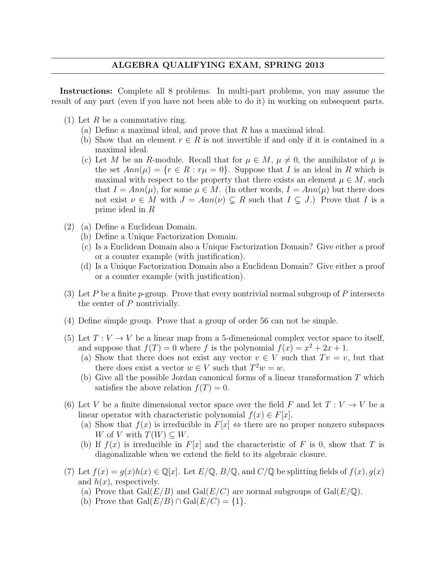Instructions: Complete all 8 problems. In multi-part problems, you may assume the result of any part (even if you have not been able to do it) in working on subsequent parts.

- (1) Let  $R$  be a commutative ring.
	- (a) Define a maximal ideal, and prove that  $R$  has a maximal ideal.
	- (b) Show that an element  $r \in R$  is not invertible if and only if it is contained in a maximal ideal.
	- (c) Let M be an R-module. Recall that for  $\mu \in M$ ,  $\mu \neq 0$ , the annihilator of  $\mu$  is the set  $Ann(\mu) = \{r \in R : r\mu = 0\}$ . Suppose that I is an ideal in R which is maximal with respect to the property that there exists an element  $\mu \in M$ , such that  $I = Ann(\mu)$ , for some  $\mu \in M$ . (In other words,  $I = Ann(\mu)$  but there does not exist  $\nu \in M$  with  $J = Ann(\nu) \subsetneq R$  such that  $I \subsetneq J$ .) Prove that I is a prime ideal in R
- (2) (a) Define a Euclidean Domain.
	- (b) Define a Unique Factorization Domain.
	- (c) Is a Euclidean Domain also a Unique Factorization Domain? Give either a proof or a counter example (with justification).
	- (d) Is a Unique Factorization Domain also a Euclidean Domain? Give either a proof or a counter example (with justification).
- (3) Let P be a finite p-group. Prove that every nontrivial normal subgroup of P intersects the center of P nontrivially.
- (4) Define simple group. Prove that a group of order 56 can not be simple.
- (5) Let  $T: V \to V$  be a linear map from a 5-dimensional complex vector space to itself, and suppose that  $f(T) = 0$  where f is the polynomial  $f(x) = x^2 + 2x + 1$ .
	- (a) Show that there does not exist any vector  $v \in V$  such that  $Tv = v$ , but that there does exist a vector  $w \in V$  such that  $T^2 w = w$ .
	- (b) Give all the possible Jordan canonical forms of a linear transformation  $T$  which satisfies the above relation  $f(T) = 0$ .
- (6) Let V be a finite dimensional vector space over the field F and let  $T: V \to V$  be a linear operator with characteristic polynomial  $f(x) \in F[x]$ .
	- (a) Show that  $f(x)$  is irreducible in  $F[x] \Leftrightarrow$  there are no proper nonzero subspaces W of V with  $T(W) \subseteq W$ .
	- (b) If  $f(x)$  is irreducible in  $F[x]$  and the characteristic of F is 0, show that T is diagonalizable when we extend the field to its algebraic closure.
- (7) Let  $f(x) = q(x)h(x) \in \mathbb{Q}[x]$ . Let  $E/\mathbb{Q}$ ,  $B/\mathbb{Q}$ , and  $C/\mathbb{Q}$  be splitting fields of  $f(x)$ ,  $g(x)$ and  $h(x)$ , respectively.
	- (a) Prove that  $Gal(E/B)$  and  $Gal(E/C)$  are normal subgroups of  $Gal(E/\mathbb{Q})$ .
	- (b) Prove that  $Gal(E/B) \cap Gal(E/C) = \{1\}.$